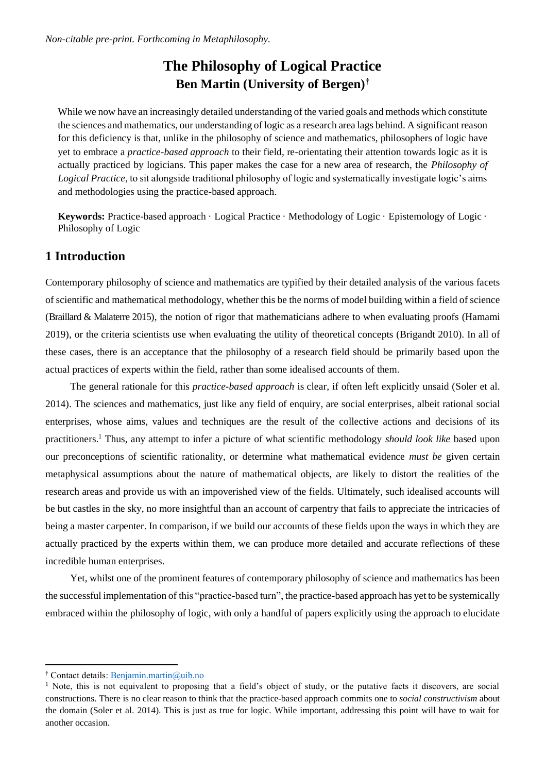# **The Philosophy of Logical Practice Ben Martin (University of Bergen)†**

While we now have an increasingly detailed understanding of the varied goals and methods which constitute the sciences and mathematics, our understanding of logic as a research area lags behind. A significant reason for this deficiency is that, unlike in the philosophy of science and mathematics, philosophers of logic have yet to embrace a *practice-based approach* to their field, re-orientating their attention towards logic as it is actually practiced by logicians. This paper makes the case for a new area of research, the *Philosophy of Logical Practice*, to sit alongside traditional philosophy of logic and systematically investigate logic's aims and methodologies using the practice-based approach.

**Keywords:** Practice-based approach · Logical Practice · Methodology of Logic · Epistemology of Logic · Philosophy of Logic

# **1 Introduction**

Contemporary philosophy of science and mathematics are typified by their detailed analysis of the various facets of scientific and mathematical methodology, whether this be the norms of model building within a field of science (Braillard & Malaterre 2015), the notion of rigor that mathematicians adhere to when evaluating proofs (Hamami 2019), or the criteria scientists use when evaluating the utility of theoretical concepts (Brigandt 2010). In all of these cases, there is an acceptance that the philosophy of a research field should be primarily based upon the actual practices of experts within the field, rather than some idealised accounts of them.

The general rationale for this *practice-based approach* is clear, if often left explicitly unsaid (Soler et al. 2014). The sciences and mathematics, just like any field of enquiry, are social enterprises, albeit rational social enterprises, whose aims, values and techniques are the result of the collective actions and decisions of its practitioners.<sup>1</sup> Thus, any attempt to infer a picture of what scientific methodology *should look like* based upon our preconceptions of scientific rationality, or determine what mathematical evidence *must be* given certain metaphysical assumptions about the nature of mathematical objects, are likely to distort the realities of the research areas and provide us with an impoverished view of the fields. Ultimately, such idealised accounts will be but castles in the sky, no more insightful than an account of carpentry that fails to appreciate the intricacies of being a master carpenter. In comparison, if we build our accounts of these fields upon the ways in which they are actually practiced by the experts within them, we can produce more detailed and accurate reflections of these incredible human enterprises.

Yet, whilst one of the prominent features of contemporary philosophy of science and mathematics has been the successful implementation of this "practice-based turn", the practice-based approach has yet to be systemically embraced within the philosophy of logic, with only a handful of papers explicitly using the approach to elucidate

<sup>†</sup> Contact details: [Benjamin.martin@uib.no](mailto:Benjamin.martin@uib.no)

 $<sup>1</sup>$  Note, this is not equivalent to proposing that a field's object of study, or the putative facts it discovers, are social</sup> constructions. There is no clear reason to think that the practice-based approach commits one to *social constructivism* about the domain (Soler et al. 2014). This is just as true for logic. While important, addressing this point will have to wait for another occasion.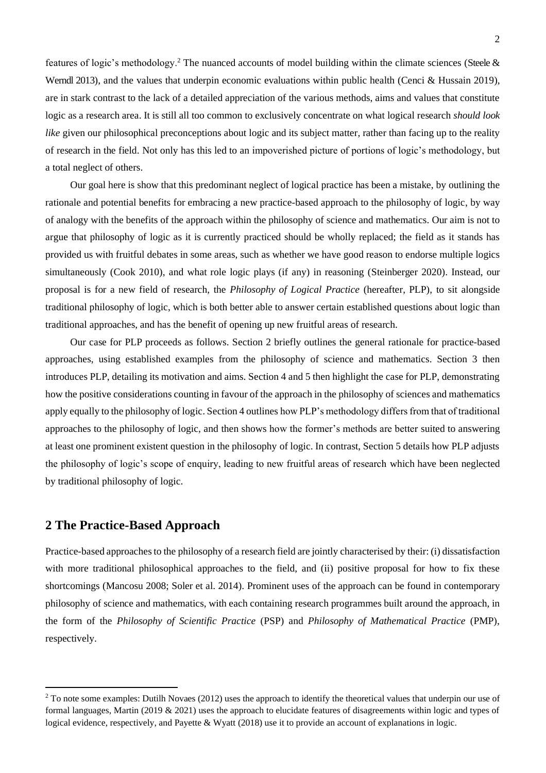features of logic's methodology.<sup>2</sup> The nuanced accounts of model building within the climate sciences (Steele  $\&$ Werndl 2013), and the values that underpin economic evaluations within public health (Cenci & Hussain 2019), are in stark contrast to the lack of a detailed appreciation of the various methods, aims and values that constitute logic as a research area. It is still all too common to exclusively concentrate on what logical research *should look like* given our philosophical preconceptions about logic and its subject matter, rather than facing up to the reality of research in the field. Not only has this led to an impoverished picture of portions of logic's methodology, but a total neglect of others.

Our goal here is show that this predominant neglect of logical practice has been a mistake, by outlining the rationale and potential benefits for embracing a new practice-based approach to the philosophy of logic, by way of analogy with the benefits of the approach within the philosophy of science and mathematics. Our aim is not to argue that philosophy of logic as it is currently practiced should be wholly replaced; the field as it stands has provided us with fruitful debates in some areas, such as whether we have good reason to endorse multiple logics simultaneously (Cook 2010), and what role logic plays (if any) in reasoning (Steinberger 2020). Instead, our proposal is for a new field of research, the *Philosophy of Logical Practice* (hereafter, PLP), to sit alongside traditional philosophy of logic, which is both better able to answer certain established questions about logic than traditional approaches, and has the benefit of opening up new fruitful areas of research.

Our case for PLP proceeds as follows. Section 2 briefly outlines the general rationale for practice-based approaches, using established examples from the philosophy of science and mathematics. Section 3 then introduces PLP, detailing its motivation and aims. Section 4 and 5 then highlight the case for PLP, demonstrating how the positive considerations counting in favour of the approach in the philosophy of sciences and mathematics apply equally to the philosophy of logic. Section 4 outlines how PLP's methodology differs from that of traditional approaches to the philosophy of logic, and then shows how the former's methods are better suited to answering at least one prominent existent question in the philosophy of logic. In contrast, Section 5 details how PLP adjusts the philosophy of logic's scope of enquiry, leading to new fruitful areas of research which have been neglected by traditional philosophy of logic.

## **2 The Practice-Based Approach**

Practice-based approaches to the philosophy of a research field are jointly characterised by their: (i) dissatisfaction with more traditional philosophical approaches to the field, and (ii) positive proposal for how to fix these shortcomings (Mancosu 2008; Soler et al. 2014). Prominent uses of the approach can be found in contemporary philosophy of science and mathematics, with each containing research programmes built around the approach, in the form of the *Philosophy of Scientific Practice* (PSP) and *Philosophy of Mathematical Practice* (PMP), respectively.

 $2$  To note some examples: Dutilh Novaes (2012) uses the approach to identify the theoretical values that underpin our use of formal languages, Martin (2019 & 2021) uses the approach to elucidate features of disagreements within logic and types of logical evidence, respectively, and Payette & Wyatt (2018) use it to provide an account of explanations in logic.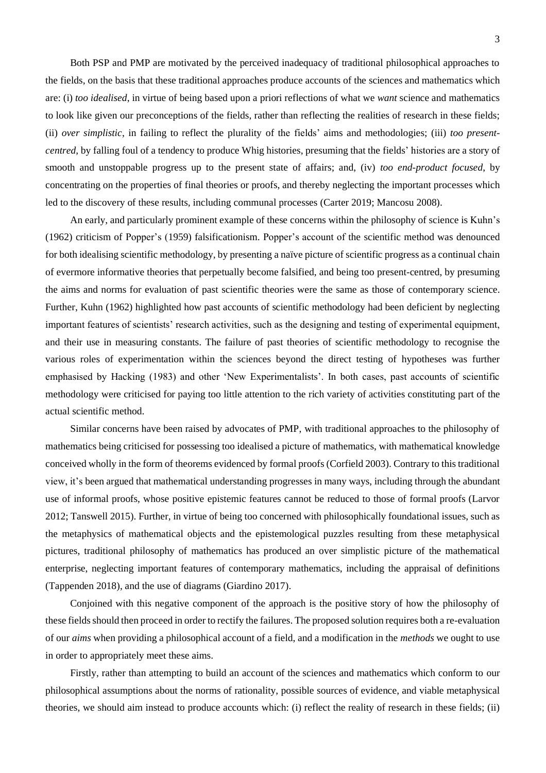Both PSP and PMP are motivated by the perceived inadequacy of traditional philosophical approaches to the fields, on the basis that these traditional approaches produce accounts of the sciences and mathematics which are: (i) *too idealised*, in virtue of being based upon a priori reflections of what we *want* science and mathematics to look like given our preconceptions of the fields, rather than reflecting the realities of research in these fields; (ii) *over simplistic*, in failing to reflect the plurality of the fields' aims and methodologies; (iii) *too presentcentred*, by falling foul of a tendency to produce Whig histories, presuming that the fields' histories are a story of smooth and unstoppable progress up to the present state of affairs; and, (iv) *too end-product focused*, by concentrating on the properties of final theories or proofs, and thereby neglecting the important processes which led to the discovery of these results, including communal processes (Carter 2019; Mancosu 2008).

An early, and particularly prominent example of these concerns within the philosophy of science is Kuhn's (1962) criticism of Popper's (1959) falsificationism. Popper's account of the scientific method was denounced for both idealising scientific methodology, by presenting a naïve picture of scientific progress as a continual chain of evermore informative theories that perpetually become falsified, and being too present-centred, by presuming the aims and norms for evaluation of past scientific theories were the same as those of contemporary science. Further, Kuhn (1962) highlighted how past accounts of scientific methodology had been deficient by neglecting important features of scientists' research activities, such as the designing and testing of experimental equipment, and their use in measuring constants. The failure of past theories of scientific methodology to recognise the various roles of experimentation within the sciences beyond the direct testing of hypotheses was further emphasised by Hacking (1983) and other 'New Experimentalists'. In both cases, past accounts of scientific methodology were criticised for paying too little attention to the rich variety of activities constituting part of the actual scientific method.

Similar concerns have been raised by advocates of PMP, with traditional approaches to the philosophy of mathematics being criticised for possessing too idealised a picture of mathematics, with mathematical knowledge conceived wholly in the form of theorems evidenced by formal proofs (Corfield 2003). Contrary to this traditional view, it's been argued that mathematical understanding progresses in many ways, including through the abundant use of informal proofs, whose positive epistemic features cannot be reduced to those of formal proofs (Larvor 2012; Tanswell 2015). Further, in virtue of being too concerned with philosophically foundational issues, such as the metaphysics of mathematical objects and the epistemological puzzles resulting from these metaphysical pictures, traditional philosophy of mathematics has produced an over simplistic picture of the mathematical enterprise, neglecting important features of contemporary mathematics, including the appraisal of definitions (Tappenden 2018), and the use of diagrams (Giardino 2017).

Conjoined with this negative component of the approach is the positive story of how the philosophy of these fields should then proceed in order to rectify the failures. The proposed solution requires both a re-evaluation of our *aims* when providing a philosophical account of a field, and a modification in the *methods* we ought to use in order to appropriately meet these aims.

Firstly, rather than attempting to build an account of the sciences and mathematics which conform to our philosophical assumptions about the norms of rationality, possible sources of evidence, and viable metaphysical theories, we should aim instead to produce accounts which: (i) reflect the reality of research in these fields; (ii)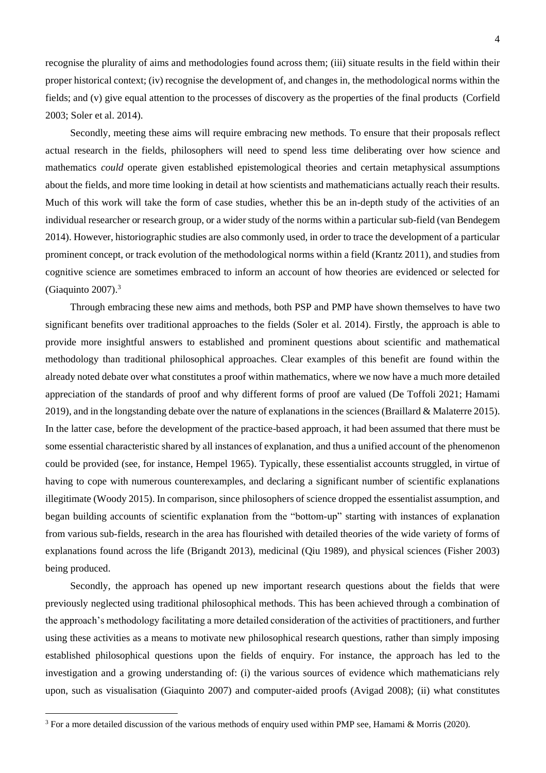recognise the plurality of aims and methodologies found across them; (iii) situate results in the field within their proper historical context; (iv) recognise the development of, and changes in, the methodological norms within the fields; and (v) give equal attention to the processes of discovery as the properties of the final products (Corfield 2003; Soler et al. 2014).

Secondly, meeting these aims will require embracing new methods. To ensure that their proposals reflect actual research in the fields, philosophers will need to spend less time deliberating over how science and mathematics *could* operate given established epistemological theories and certain metaphysical assumptions about the fields, and more time looking in detail at how scientists and mathematicians actually reach their results. Much of this work will take the form of case studies, whether this be an in-depth study of the activities of an individual researcher or research group, or a wider study of the norms within a particular sub-field (van Bendegem 2014). However, historiographic studies are also commonly used, in order to trace the development of a particular prominent concept, or track evolution of the methodological norms within a field (Krantz 2011), and studies from cognitive science are sometimes embraced to inform an account of how theories are evidenced or selected for (Giaquinto  $2007$ ).<sup>3</sup>

Through embracing these new aims and methods, both PSP and PMP have shown themselves to have two significant benefits over traditional approaches to the fields (Soler et al. 2014). Firstly, the approach is able to provide more insightful answers to established and prominent questions about scientific and mathematical methodology than traditional philosophical approaches. Clear examples of this benefit are found within the already noted debate over what constitutes a proof within mathematics, where we now have a much more detailed appreciation of the standards of proof and why different forms of proof are valued (De Toffoli 2021; Hamami 2019), and in the longstanding debate over the nature of explanations in the sciences (Braillard & Malaterre 2015). In the latter case, before the development of the practice-based approach, it had been assumed that there must be some essential characteristic shared by all instances of explanation, and thus a unified account of the phenomenon could be provided (see, for instance, Hempel 1965). Typically, these essentialist accounts struggled, in virtue of having to cope with numerous counterexamples, and declaring a significant number of scientific explanations illegitimate (Woody 2015). In comparison, since philosophers of science dropped the essentialist assumption, and began building accounts of scientific explanation from the "bottom-up" starting with instances of explanation from various sub-fields, research in the area has flourished with detailed theories of the wide variety of forms of explanations found across the life (Brigandt 2013), medicinal (Qiu 1989), and physical sciences (Fisher 2003) being produced.

Secondly, the approach has opened up new important research questions about the fields that were previously neglected using traditional philosophical methods. This has been achieved through a combination of the approach's methodology facilitating a more detailed consideration of the activities of practitioners, and further using these activities as a means to motivate new philosophical research questions, rather than simply imposing established philosophical questions upon the fields of enquiry. For instance, the approach has led to the investigation and a growing understanding of: (i) the various sources of evidence which mathematicians rely upon, such as visualisation (Giaquinto 2007) and computer-aided proofs (Avigad 2008); (ii) what constitutes

<sup>&</sup>lt;sup>3</sup> For a more detailed discussion of the various methods of enquiry used within PMP see, Hamami & Morris (2020).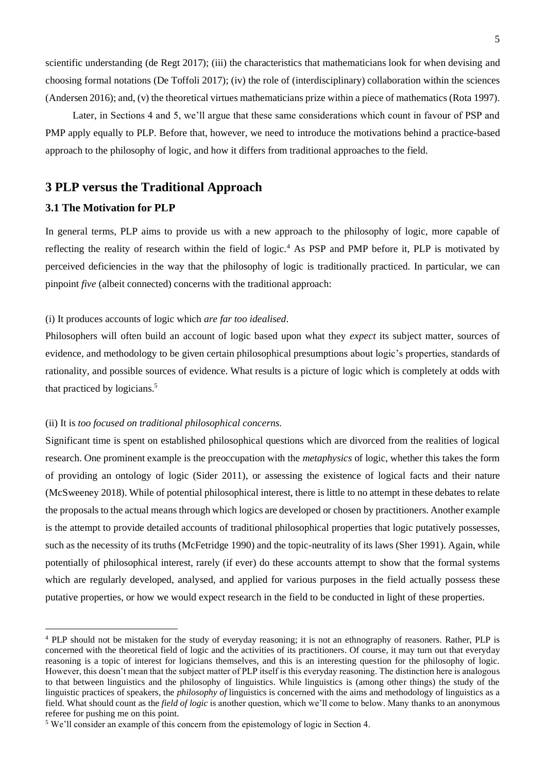scientific understanding (de Regt 2017); (iii) the characteristics that mathematicians look for when devising and choosing formal notations (De Toffoli 2017); (iv) the role of (interdisciplinary) collaboration within the sciences (Andersen 2016); and, (v) the theoretical virtues mathematicians prize within a piece of mathematics (Rota 1997).

Later, in Sections 4 and 5, we'll argue that these same considerations which count in favour of PSP and PMP apply equally to PLP. Before that, however, we need to introduce the motivations behind a practice-based approach to the philosophy of logic, and how it differs from traditional approaches to the field.

# **3 PLP versus the Traditional Approach**

## **3.1 The Motivation for PLP**

In general terms, PLP aims to provide us with a new approach to the philosophy of logic, more capable of reflecting the reality of research within the field of logic.<sup>4</sup> As PSP and PMP before it, PLP is motivated by perceived deficiencies in the way that the philosophy of logic is traditionally practiced. In particular, we can pinpoint *five* (albeit connected) concerns with the traditional approach:

## (i) It produces accounts of logic which *are far too idealised*.

Philosophers will often build an account of logic based upon what they *expect* its subject matter, sources of evidence, and methodology to be given certain philosophical presumptions about logic's properties, standards of rationality, and possible sources of evidence. What results is a picture of logic which is completely at odds with that practiced by logicians.<sup>5</sup>

#### (ii) It is *too focused on traditional philosophical concerns*.

Significant time is spent on established philosophical questions which are divorced from the realities of logical research. One prominent example is the preoccupation with the *metaphysics* of logic, whether this takes the form of providing an ontology of logic (Sider 2011), or assessing the existence of logical facts and their nature (McSweeney 2018). While of potential philosophical interest, there is little to no attempt in these debates to relate the proposals to the actual means through which logics are developed or chosen by practitioners. Another example is the attempt to provide detailed accounts of traditional philosophical properties that logic putatively possesses, such as the necessity of its truths (McFetridge 1990) and the topic-neutrality of its laws (Sher 1991). Again, while potentially of philosophical interest, rarely (if ever) do these accounts attempt to show that the formal systems which are regularly developed, analysed, and applied for various purposes in the field actually possess these putative properties, or how we would expect research in the field to be conducted in light of these properties.

<sup>4</sup> PLP should not be mistaken for the study of everyday reasoning; it is not an ethnography of reasoners. Rather, PLP is concerned with the theoretical field of logic and the activities of its practitioners. Of course, it may turn out that everyday reasoning is a topic of interest for logicians themselves, and this is an interesting question for the philosophy of logic. However, this doesn't mean that the subject matter of PLP itself is this everyday reasoning. The distinction here is analogous to that between linguistics and the philosophy of linguistics. While linguistics is (among other things) the study of the linguistic practices of speakers, the *philosophy of* linguistics is concerned with the aims and methodology of linguistics as a field. What should count as the *field of logic* is another question, which we'll come to below. Many thanks to an anonymous referee for pushing me on this point.

<sup>5</sup> We'll consider an example of this concern from the epistemology of logic in Section 4.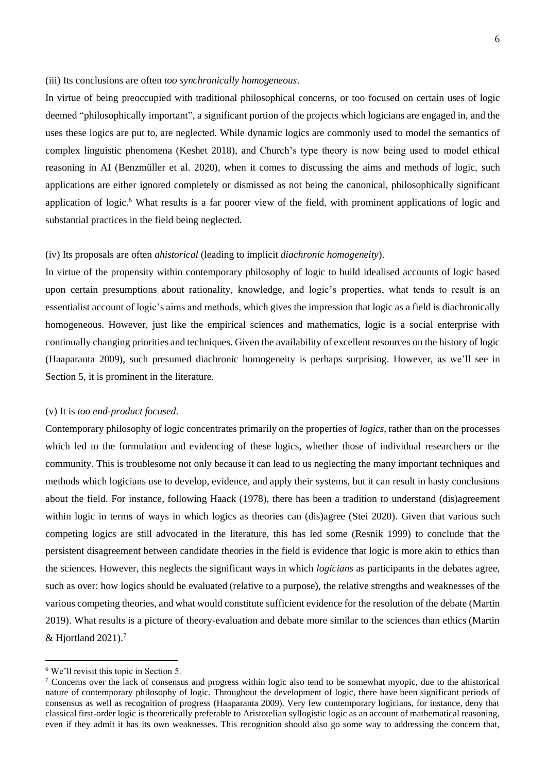## (iii) Its conclusions are often *too synchronically homogeneous*.

In virtue of being preoccupied with traditional philosophical concerns, or too focused on certain uses of logic deemed "philosophically important", a significant portion of the projects which logicians are engaged in, and the uses these logics are put to, are neglected. While dynamic logics are commonly used to model the semantics of complex linguistic phenomena (Keshet 2018), and Church's type theory is now being used to model ethical reasoning in AI (Benzmüller et al. 2020), when it comes to discussing the aims and methods of logic, such applications are either ignored completely or dismissed as not being the canonical, philosophically significant application of logic.<sup>6</sup> What results is a far poorer view of the field, with prominent applications of logic and substantial practices in the field being neglected.

### (iv) Its proposals are often *ahistorical* (leading to implicit *diachronic homogeneity*).

In virtue of the propensity within contemporary philosophy of logic to build idealised accounts of logic based upon certain presumptions about rationality, knowledge, and logic's properties, what tends to result is an essentialist account of logic's aims and methods, which gives the impression that logic as a field is diachronically homogeneous. However, just like the empirical sciences and mathematics, logic is a social enterprise with continually changing priorities and techniques. Given the availability of excellent resources on the history of logic (Haaparanta 2009), such presumed diachronic homogeneity is perhaps surprising. However, as we'll see in Section 5, it is prominent in the literature.

#### (v) It is *too end-product focused*.

Contemporary philosophy of logic concentrates primarily on the properties of *logics*, rather than on the processes which led to the formulation and evidencing of these logics, whether those of individual researchers or the community. This is troublesome not only because it can lead to us neglecting the many important techniques and methods which logicians use to develop, evidence, and apply their systems, but it can result in hasty conclusions about the field. For instance, following Haack (1978), there has been a tradition to understand (dis)agreement within logic in terms of ways in which logics as theories can (dis)agree (Stei 2020). Given that various such competing logics are still advocated in the literature, this has led some (Resnik 1999) to conclude that the persistent disagreement between candidate theories in the field is evidence that logic is more akin to ethics than the sciences. However, this neglects the significant ways in which *logicians* as participants in the debates agree, such as over: how logics should be evaluated (relative to a purpose), the relative strengths and weaknesses of the various competing theories, and what would constitute sufficient evidence for the resolution of the debate (Martin 2019). What results is a picture of theory-evaluation and debate more similar to the sciences than ethics (Martin  $&$  Hjortland 2021).<sup>7</sup>

<sup>6</sup> We'll revisit this topic in Section 5.

<sup>&</sup>lt;sup>7</sup> Concerns over the lack of consensus and progress within logic also tend to be somewhat myopic, due to the ahistorical nature of contemporary philosophy of logic. Throughout the development of logic, there have been significant periods of consensus as well as recognition of progress (Haaparanta 2009). Very few contemporary logicians, for instance, deny that classical first-order logic is theoretically preferable to Aristotelian syllogistic logic as an account of mathematical reasoning, even if they admit it has its own weaknesses. This recognition should also go some way to addressing the concern that,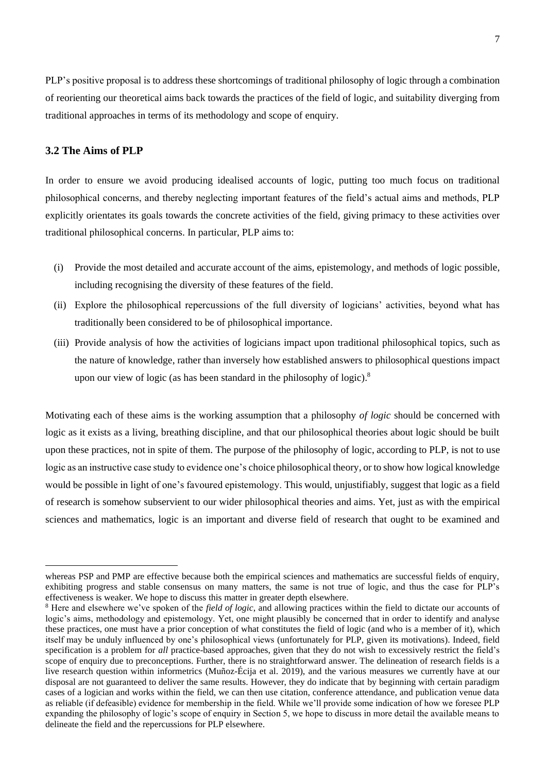PLP's positive proposal is to address these shortcomings of traditional philosophy of logic through a combination of reorienting our theoretical aims back towards the practices of the field of logic, and suitability diverging from traditional approaches in terms of its methodology and scope of enquiry.

## **3.2 The Aims of PLP**

In order to ensure we avoid producing idealised accounts of logic, putting too much focus on traditional philosophical concerns, and thereby neglecting important features of the field's actual aims and methods, PLP explicitly orientates its goals towards the concrete activities of the field, giving primacy to these activities over traditional philosophical concerns. In particular, PLP aims to:

- (i) Provide the most detailed and accurate account of the aims, epistemology, and methods of logic possible, including recognising the diversity of these features of the field.
- (ii) Explore the philosophical repercussions of the full diversity of logicians' activities, beyond what has traditionally been considered to be of philosophical importance.
- (iii) Provide analysis of how the activities of logicians impact upon traditional philosophical topics, such as the nature of knowledge, rather than inversely how established answers to philosophical questions impact upon our view of logic (as has been standard in the philosophy of logic).<sup>8</sup>

Motivating each of these aims is the working assumption that a philosophy *of logic* should be concerned with logic as it exists as a living, breathing discipline, and that our philosophical theories about logic should be built upon these practices, not in spite of them. The purpose of the philosophy of logic, according to PLP, is not to use logic as an instructive case study to evidence one's choice philosophical theory, or to show how logical knowledge would be possible in light of one's favoured epistemology. This would, unjustifiably, suggest that logic as a field of research is somehow subservient to our wider philosophical theories and aims. Yet, just as with the empirical sciences and mathematics, logic is an important and diverse field of research that ought to be examined and

whereas PSP and PMP are effective because both the empirical sciences and mathematics are successful fields of enquiry, exhibiting progress and stable consensus on many matters, the same is not true of logic, and thus the case for PLP's effectiveness is weaker. We hope to discuss this matter in greater depth elsewhere.

<sup>8</sup> Here and elsewhere we've spoken of the *field of logic*, and allowing practices within the field to dictate our accounts of logic's aims, methodology and epistemology. Yet, one might plausibly be concerned that in order to identify and analyse these practices, one must have a prior conception of what constitutes the field of logic (and who is a member of it), which itself may be unduly influenced by one's philosophical views (unfortunately for PLP, given its motivations). Indeed, field specification is a problem for *all* practice-based approaches, given that they do not wish to excessively restrict the field's scope of enquiry due to preconceptions. Further, there is no straightforward answer. The delineation of research fields is a live research question within informetrics (Muñoz-Écija et al. 2019), and the various measures we currently have at our disposal are not guaranteed to deliver the same results. However, they do indicate that by beginning with certain paradigm cases of a logician and works within the field, we can then use citation, conference attendance, and publication venue data as reliable (if defeasible) evidence for membership in the field. While we'll provide some indication of how we foresee PLP expanding the philosophy of logic's scope of enquiry in Section 5, we hope to discuss in more detail the available means to delineate the field and the repercussions for PLP elsewhere.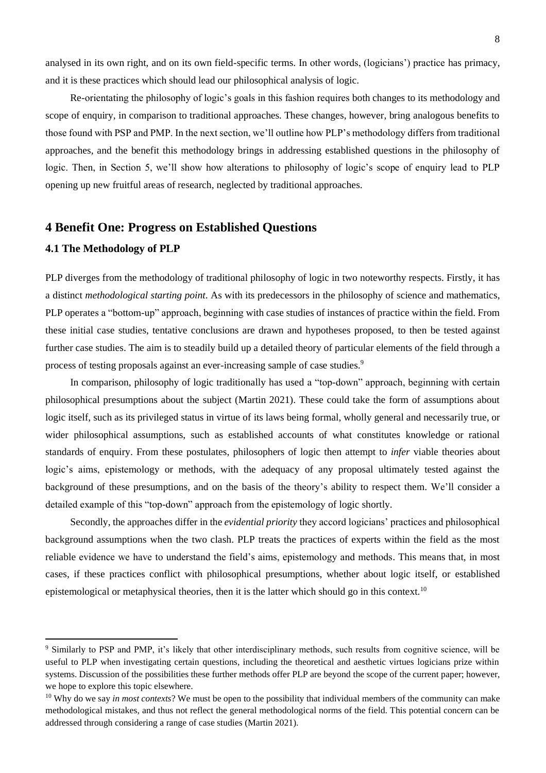analysed in its own right, and on its own field-specific terms. In other words, (logicians') practice has primacy, and it is these practices which should lead our philosophical analysis of logic.

Re-orientating the philosophy of logic's goals in this fashion requires both changes to its methodology and scope of enquiry, in comparison to traditional approaches. These changes, however, bring analogous benefits to those found with PSP and PMP. In the next section, we'll outline how PLP's methodology differs from traditional approaches, and the benefit this methodology brings in addressing established questions in the philosophy of logic. Then, in Section 5, we'll show how alterations to philosophy of logic's scope of enquiry lead to PLP opening up new fruitful areas of research, neglected by traditional approaches.

# **4 Benefit One: Progress on Established Questions**

## **4.1 The Methodology of PLP**

PLP diverges from the methodology of traditional philosophy of logic in two noteworthy respects. Firstly, it has a distinct *methodological starting point*. As with its predecessors in the philosophy of science and mathematics, PLP operates a "bottom-up" approach, beginning with case studies of instances of practice within the field. From these initial case studies, tentative conclusions are drawn and hypotheses proposed, to then be tested against further case studies. The aim is to steadily build up a detailed theory of particular elements of the field through a process of testing proposals against an ever-increasing sample of case studies.<sup>9</sup>

In comparison, philosophy of logic traditionally has used a "top-down" approach, beginning with certain philosophical presumptions about the subject (Martin 2021). These could take the form of assumptions about logic itself, such as its privileged status in virtue of its laws being formal, wholly general and necessarily true, or wider philosophical assumptions, such as established accounts of what constitutes knowledge or rational standards of enquiry. From these postulates, philosophers of logic then attempt to *infer* viable theories about logic's aims, epistemology or methods, with the adequacy of any proposal ultimately tested against the background of these presumptions, and on the basis of the theory's ability to respect them. We'll consider a detailed example of this "top-down" approach from the epistemology of logic shortly.

Secondly, the approaches differ in the *evidential priority* they accord logicians' practices and philosophical background assumptions when the two clash. PLP treats the practices of experts within the field as the most reliable evidence we have to understand the field's aims, epistemology and methods. This means that, in most cases, if these practices conflict with philosophical presumptions, whether about logic itself, or established epistemological or metaphysical theories, then it is the latter which should go in this context.<sup>10</sup>

<sup>9</sup> Similarly to PSP and PMP, it's likely that other interdisciplinary methods, such results from cognitive science, will be useful to PLP when investigating certain questions, including the theoretical and aesthetic virtues logicians prize within systems. Discussion of the possibilities these further methods offer PLP are beyond the scope of the current paper; however, we hope to explore this topic elsewhere.

<sup>&</sup>lt;sup>10</sup> Why do we say *in most contexts*? We must be open to the possibility that individual members of the community can make methodological mistakes, and thus not reflect the general methodological norms of the field. This potential concern can be addressed through considering a range of case studies (Martin 2021).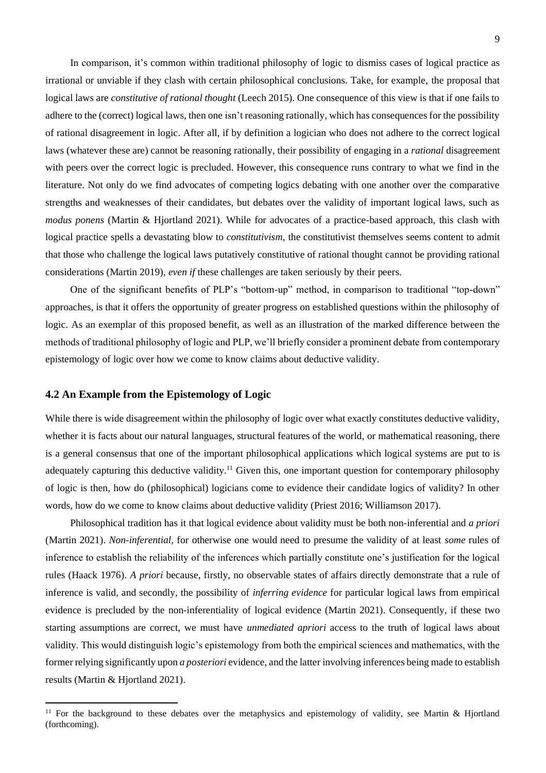In comparison, it's common within traditional philosophy of logic to dismiss cases of logical practice as irrational or unviable if they clash with certain philosophical conclusions. Take, for example, the proposal that logical laws are *constitutive of rational thought* (Leech 2015). One consequence of this view is that if one fails to adhere to the (correct) logical laws, then one isn't reasoning rationally, which has consequences for the possibility of rational disagreement in logic. After all, if by definition a logician who does not adhere to the correct logical laws (whatever these are) cannot be reasoning rationally, their possibility of engaging in a *rational* disagreement with peers over the correct logic is precluded. However, this consequence runs contrary to what we find in the literature. Not only do we find advocates of competing logics debating with one another over the comparative strengths and weaknesses of their candidates, but debates over the validity of important logical laws, such as *modus ponens* (Martin & Hjortland 2021). While for advocates of a practice-based approach, this clash with logical practice spells a devastating blow to *constitutivism*, the constitutivist themselves seems content to admit that those who challenge the logical laws putatively constitutive of rational thought cannot be providing rational considerations (Martin 2019), *even if* these challenges are taken seriously by their peers.

One of the significant benefits of PLP's "bottom-up" method, in comparison to traditional "top-down" approaches, is that it offers the opportunity of greater progress on established questions within the philosophy of logic. As an exemplar of this proposed benefit, as well as an illustration of the marked difference between the methods of traditional philosophy of logic and PLP, we'll briefly consider a prominent debate from contemporary epistemology of logic over how we come to know claims about deductive validity.

## **4.2 An Example from the Epistemology of Logic**

While there is wide disagreement within the philosophy of logic over what exactly constitutes deductive validity, whether it is facts about our natural languages, structural features of the world, or mathematical reasoning, there is a general consensus that one of the important philosophical applications which logical systems are put to is adequately capturing this deductive validity.<sup>11</sup> Given this, one important question for contemporary philosophy of logic is then, how do (philosophical) logicians come to evidence their candidate logics of validity? In other words, how do we come to know claims about deductive validity (Priest 2016; Williamson 2017).

Philosophical tradition has it that logical evidence about validity must be both non-inferential and *a priori*  (Martin 2021). *Non-inferential*, for otherwise one would need to presume the validity of at least *some* rules of inference to establish the reliability of the inferences which partially constitute one's justification for the logical rules (Haack 1976). *A priori* because, firstly, no observable states of affairs directly demonstrate that a rule of inference is valid, and secondly, the possibility of *inferring evidence* for particular logical laws from empirical evidence is precluded by the non-inferentiality of logical evidence (Martin 2021). Consequently, if these two starting assumptions are correct, we must have *unmediated apriori* access to the truth of logical laws about validity. This would distinguish logic's epistemology from both the empirical sciences and mathematics, with the former relying significantly upon *a posteriori* evidence, and the latter involving inferences being made to establish results (Martin & Hjortland 2021).

<sup>&</sup>lt;sup>11</sup> For the background to these debates over the metaphysics and epistemology of validity, see Martin & Hjortland (forthcoming).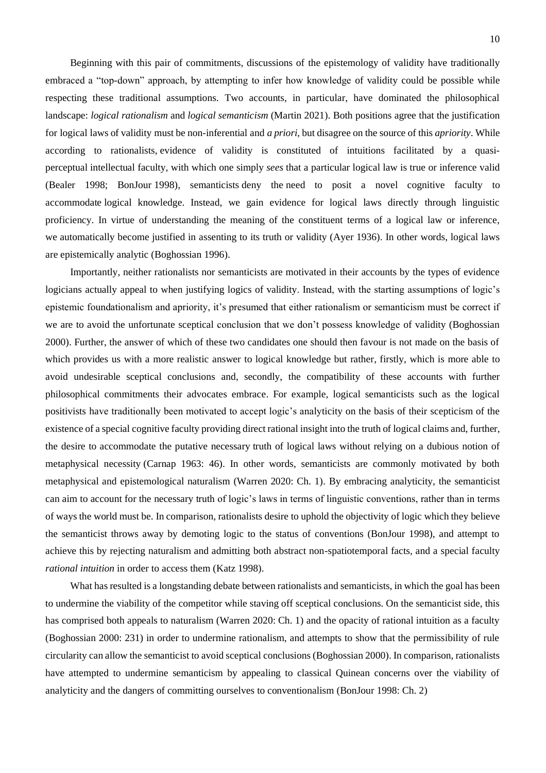Beginning with this pair of commitments, discussions of the epistemology of validity have traditionally embraced a "top-down" approach, by attempting to infer how knowledge of validity could be possible while respecting these traditional assumptions. Two accounts, in particular, have dominated the philosophical landscape: *logical rationalism* and *logical semanticism* (Martin 2021). Both positions agree that the justification for logical laws of validity must be non-inferential and *a priori*, but disagree on the source of this *apriority*. While according to rationalists, evidence of validity is constituted of intuitions facilitated by a quasiperceptual intellectual faculty, with which one simply *sees* that a particular logical law is true or inference valid (Bealer 1998; BonJour 1998)*,* semanticists deny the need to posit a novel cognitive faculty to accommodate logical knowledge. Instead, we gain evidence for logical laws directly through linguistic proficiency. In virtue of understanding the meaning of the constituent terms of a logical law or inference, we automatically become justified in assenting to its truth or validity (Ayer 1936). In other words, logical laws are epistemically analytic (Boghossian 1996).

Importantly, neither rationalists nor semanticists are motivated in their accounts by the types of evidence logicians actually appeal to when justifying logics of validity. Instead, with the starting assumptions of logic's epistemic foundationalism and apriority, it's presumed that either rationalism or semanticism must be correct if we are to avoid the unfortunate sceptical conclusion that we don't possess knowledge of validity (Boghossian 2000). Further, the answer of which of these two candidates one should then favour is not made on the basis of which provides us with a more realistic answer to logical knowledge but rather, firstly, which is more able to avoid undesirable sceptical conclusions and, secondly, the compatibility of these accounts with further philosophical commitments their advocates embrace. For example, logical semanticists such as the logical positivists have traditionally been motivated to accept logic's analyticity on the basis of their scepticism of the existence of a special cognitive faculty providing direct rational insight into the truth of logical claims and, further, the desire to accommodate the putative necessary truth of logical laws without relying on a dubious notion of metaphysical necessity (Carnap 1963: 46). In other words, semanticists are commonly motivated by both metaphysical and epistemological naturalism (Warren 2020: Ch. 1). By embracing analyticity, the semanticist can aim to account for the necessary truth of logic's laws in terms of linguistic conventions, rather than in terms of ways the world must be. In comparison, rationalists desire to uphold the objectivity of logic which they believe the semanticist throws away by demoting logic to the status of conventions (BonJour 1998), and attempt to achieve this by rejecting naturalism and admitting both abstract non-spatiotemporal facts, and a special faculty *rational intuition* in order to access them (Katz 1998).

What has resulted is a longstanding debate between rationalists and semanticists, in which the goal has been to undermine the viability of the competitor while staving off sceptical conclusions. On the semanticist side, this has comprised both appeals to naturalism (Warren 2020: Ch. 1) and the opacity of rational intuition as a faculty (Boghossian 2000: 231) in order to undermine rationalism, and attempts to show that the permissibility of rule circularity can allow the semanticist to avoid sceptical conclusions (Boghossian 2000). In comparison, rationalists have attempted to undermine semanticism by appealing to classical Quinean concerns over the viability of analyticity and the dangers of committing ourselves to conventionalism (BonJour 1998: Ch. 2)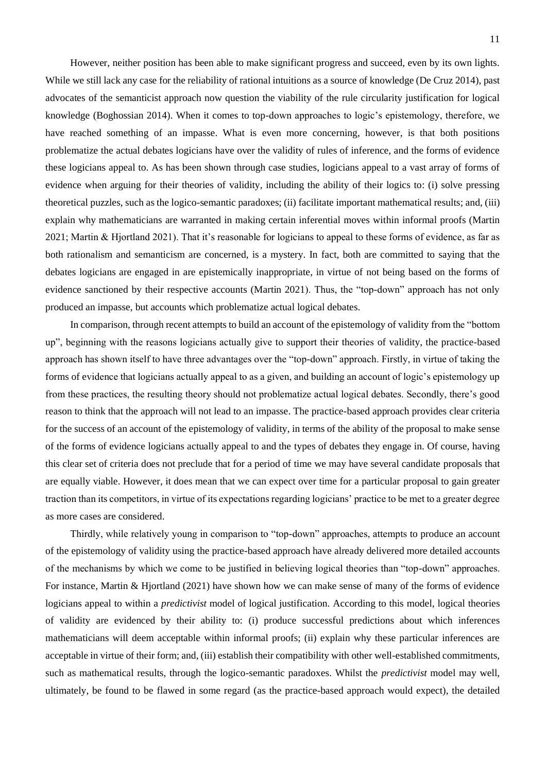However, neither position has been able to make significant progress and succeed, even by its own lights. While we still lack any case for the reliability of rational intuitions as a source of knowledge (De Cruz 2014), past advocates of the semanticist approach now question the viability of the rule circularity justification for logical knowledge (Boghossian 2014). When it comes to top-down approaches to logic's epistemology, therefore, we have reached something of an impasse. What is even more concerning, however, is that both positions problematize the actual debates logicians have over the validity of rules of inference, and the forms of evidence these logicians appeal to. As has been shown through case studies, logicians appeal to a vast array of forms of evidence when arguing for their theories of validity, including the ability of their logics to: (i) solve pressing theoretical puzzles, such as the logico-semantic paradoxes; (ii) facilitate important mathematical results; and, (iii) explain why mathematicians are warranted in making certain inferential moves within informal proofs (Martin 2021; Martin & Hjortland 2021). That it's reasonable for logicians to appeal to these forms of evidence, as far as both rationalism and semanticism are concerned, is a mystery. In fact, both are committed to saying that the debates logicians are engaged in are epistemically inappropriate, in virtue of not being based on the forms of evidence sanctioned by their respective accounts (Martin 2021). Thus, the "top-down" approach has not only produced an impasse, but accounts which problematize actual logical debates.

In comparison, through recent attempts to build an account of the epistemology of validity from the "bottom up", beginning with the reasons logicians actually give to support their theories of validity, the practice-based approach has shown itself to have three advantages over the "top-down" approach. Firstly, in virtue of taking the forms of evidence that logicians actually appeal to as a given, and building an account of logic's epistemology up from these practices, the resulting theory should not problematize actual logical debates. Secondly, there's good reason to think that the approach will not lead to an impasse. The practice-based approach provides clear criteria for the success of an account of the epistemology of validity, in terms of the ability of the proposal to make sense of the forms of evidence logicians actually appeal to and the types of debates they engage in. Of course, having this clear set of criteria does not preclude that for a period of time we may have several candidate proposals that are equally viable. However, it does mean that we can expect over time for a particular proposal to gain greater traction than its competitors, in virtue of its expectations regarding logicians' practice to be met to a greater degree as more cases are considered.

Thirdly, while relatively young in comparison to "top-down" approaches, attempts to produce an account of the epistemology of validity using the practice-based approach have already delivered more detailed accounts of the mechanisms by which we come to be justified in believing logical theories than "top-down" approaches. For instance, Martin & Hjortland (2021) have shown how we can make sense of many of the forms of evidence logicians appeal to within a *predictivist* model of logical justification. According to this model, logical theories of validity are evidenced by their ability to: (i) produce successful predictions about which inferences mathematicians will deem acceptable within informal proofs; (ii) explain why these particular inferences are acceptable in virtue of their form; and, (iii) establish their compatibility with other well-established commitments, such as mathematical results, through the logico-semantic paradoxes. Whilst the *predictivist* model may well, ultimately, be found to be flawed in some regard (as the practice-based approach would expect), the detailed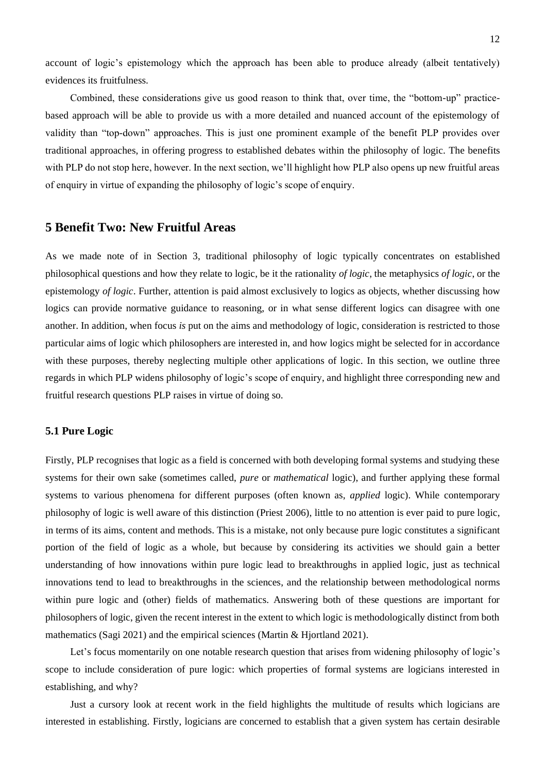account of logic's epistemology which the approach has been able to produce already (albeit tentatively) evidences its fruitfulness.

Combined, these considerations give us good reason to think that, over time, the "bottom-up" practicebased approach will be able to provide us with a more detailed and nuanced account of the epistemology of validity than "top-down" approaches. This is just one prominent example of the benefit PLP provides over traditional approaches, in offering progress to established debates within the philosophy of logic. The benefits with PLP do not stop here, however. In the next section, we'll highlight how PLP also opens up new fruitful areas of enquiry in virtue of expanding the philosophy of logic's scope of enquiry.

# **5 Benefit Two: New Fruitful Areas**

As we made note of in Section 3, traditional philosophy of logic typically concentrates on established philosophical questions and how they relate to logic, be it the rationality *of logic*, the metaphysics *of logic*, or the epistemology *of logic*. Further, attention is paid almost exclusively to logics as objects, whether discussing how logics can provide normative guidance to reasoning, or in what sense different logics can disagree with one another. In addition, when focus *is* put on the aims and methodology of logic, consideration is restricted to those particular aims of logic which philosophers are interested in, and how logics might be selected for in accordance with these purposes, thereby neglecting multiple other applications of logic. In this section, we outline three regards in which PLP widens philosophy of logic's scope of enquiry, and highlight three corresponding new and fruitful research questions PLP raises in virtue of doing so.

## **5.1 Pure Logic**

Firstly, PLP recognises that logic as a field is concerned with both developing formal systems and studying these systems for their own sake (sometimes called, *pure* or *mathematical* logic), and further applying these formal systems to various phenomena for different purposes (often known as, *applied* logic). While contemporary philosophy of logic is well aware of this distinction (Priest 2006), little to no attention is ever paid to pure logic, in terms of its aims, content and methods. This is a mistake, not only because pure logic constitutes a significant portion of the field of logic as a whole, but because by considering its activities we should gain a better understanding of how innovations within pure logic lead to breakthroughs in applied logic, just as technical innovations tend to lead to breakthroughs in the sciences, and the relationship between methodological norms within pure logic and (other) fields of mathematics. Answering both of these questions are important for philosophers of logic, given the recent interest in the extent to which logic is methodologically distinct from both mathematics (Sagi 2021) and the empirical sciences (Martin & Hjortland 2021).

Let's focus momentarily on one notable research question that arises from widening philosophy of logic's scope to include consideration of pure logic: which properties of formal systems are logicians interested in establishing, and why?

Just a cursory look at recent work in the field highlights the multitude of results which logicians are interested in establishing. Firstly, logicians are concerned to establish that a given system has certain desirable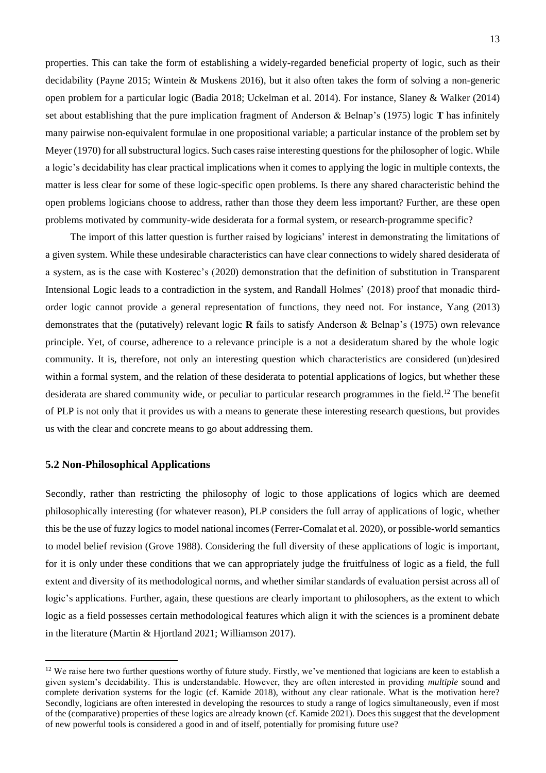properties. This can take the form of establishing a widely-regarded beneficial property of logic, such as their decidability (Payne 2015; Wintein & Muskens 2016), but it also often takes the form of solving a non-generic open problem for a particular logic (Badia 2018; Uckelman et al. 2014). For instance, Slaney & Walker (2014) set about establishing that the pure implication fragment of Anderson & Belnap's (1975) logic **T** has infinitely many pairwise non-equivalent formulae in one propositional variable; a particular instance of the problem set by Meyer (1970) for all substructural logics. Such cases raise interesting questions for the philosopher of logic. While a logic's decidability has clear practical implications when it comes to applying the logic in multiple contexts, the matter is less clear for some of these logic-specific open problems. Is there any shared characteristic behind the open problems logicians choose to address, rather than those they deem less important? Further, are these open problems motivated by community-wide desiderata for a formal system, or research-programme specific?

The import of this latter question is further raised by logicians' interest in demonstrating the limitations of a given system. While these undesirable characteristics can have clear connections to widely shared desiderata of a system, as is the case with Kosterec's (2020) demonstration that the definition of substitution in Transparent Intensional Logic leads to a contradiction in the system, and Randall Holmes' (2018) proof that monadic thirdorder logic cannot provide a general representation of functions, they need not. For instance, Yang (2013) demonstrates that the (putatively) relevant logic **R** fails to satisfy Anderson & Belnap's (1975) own relevance principle. Yet, of course, adherence to a relevance principle is a not a desideratum shared by the whole logic community. It is, therefore, not only an interesting question which characteristics are considered (un)desired within a formal system, and the relation of these desiderata to potential applications of logics, but whether these desiderata are shared community wide, or peculiar to particular research programmes in the field.<sup>12</sup> The benefit of PLP is not only that it provides us with a means to generate these interesting research questions, but provides us with the clear and concrete means to go about addressing them.

## **5.2 Non-Philosophical Applications**

Secondly, rather than restricting the philosophy of logic to those applications of logics which are deemed philosophically interesting (for whatever reason), PLP considers the full array of applications of logic, whether this be the use of fuzzy logics to model national incomes (Ferrer-Comalat et al. 2020), or possible-world semantics to model belief revision (Grove 1988). Considering the full diversity of these applications of logic is important, for it is only under these conditions that we can appropriately judge the fruitfulness of logic as a field, the full extent and diversity of its methodological norms, and whether similar standards of evaluation persist across all of logic's applications. Further, again, these questions are clearly important to philosophers, as the extent to which logic as a field possesses certain methodological features which align it with the sciences is a prominent debate in the literature (Martin & Hjortland 2021; Williamson 2017).

 $12$  We raise here two further questions worthy of future study. Firstly, we've mentioned that logicians are keen to establish a given system's decidability. This is understandable. However, they are often interested in providing *multiple* sound and complete derivation systems for the logic (cf. Kamide 2018), without any clear rationale. What is the motivation here? Secondly, logicians are often interested in developing the resources to study a range of logics simultaneously, even if most of the (comparative) properties of these logics are already known (cf. Kamide 2021). Does this suggest that the development of new powerful tools is considered a good in and of itself, potentially for promising future use?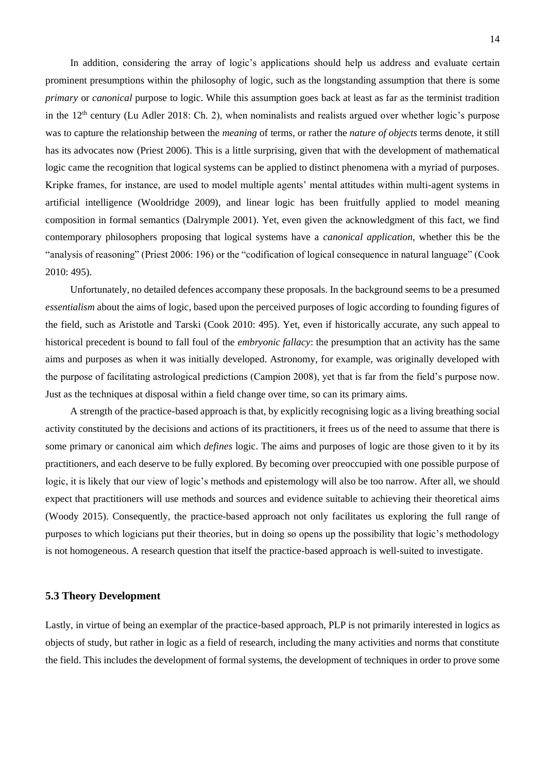In addition, considering the array of logic's applications should help us address and evaluate certain prominent presumptions within the philosophy of logic, such as the longstanding assumption that there is some *primary* or *canonical* purpose to logic. While this assumption goes back at least as far as the terminist tradition in the 12<sup>th</sup> century (Lu Adler 2018: Ch. 2), when nominalists and realists argued over whether logic's purpose was to capture the relationship between the *meaning* of terms, or rather the *nature of objects* terms denote, it still has its advocates now (Priest 2006). This is a little surprising, given that with the development of mathematical logic came the recognition that logical systems can be applied to distinct phenomena with a myriad of purposes. Kripke frames, for instance, are used to model multiple agents' mental attitudes within multi-agent systems in artificial intelligence (Wooldridge 2009), and linear logic has been fruitfully applied to model meaning composition in formal semantics (Dalrymple 2001). Yet, even given the acknowledgment of this fact, we find contemporary philosophers proposing that logical systems have a *canonical application*, whether this be the "analysis of reasoning" (Priest 2006: 196) or the "codification of logical consequence in natural language" (Cook 2010: 495).

Unfortunately, no detailed defences accompany these proposals. In the background seems to be a presumed *essentialism* about the aims of logic, based upon the perceived purposes of logic according to founding figures of the field, such as Aristotle and Tarski (Cook 2010: 495). Yet, even if historically accurate, any such appeal to historical precedent is bound to fall foul of the *embryonic fallacy*: the presumption that an activity has the same aims and purposes as when it was initially developed. Astronomy, for example, was originally developed with the purpose of facilitating astrological predictions (Campion 2008), yet that is far from the field's purpose now. Just as the techniques at disposal within a field change over time, so can its primary aims.

A strength of the practice-based approach is that, by explicitly recognising logic as a living breathing social activity constituted by the decisions and actions of its practitioners, it frees us of the need to assume that there is some primary or canonical aim which *defines* logic. The aims and purposes of logic are those given to it by its practitioners, and each deserve to be fully explored. By becoming over preoccupied with one possible purpose of logic, it is likely that our view of logic's methods and epistemology will also be too narrow. After all, we should expect that practitioners will use methods and sources and evidence suitable to achieving their theoretical aims (Woody 2015). Consequently, the practice-based approach not only facilitates us exploring the full range of purposes to which logicians put their theories, but in doing so opens up the possibility that logic's methodology is not homogeneous. A research question that itself the practice-based approach is well-suited to investigate.

#### **5.3 Theory Development**

Lastly, in virtue of being an exemplar of the practice-based approach, PLP is not primarily interested in logics as objects of study, but rather in logic as a field of research, including the many activities and norms that constitute the field. This includes the development of formal systems, the development of techniques in order to prove some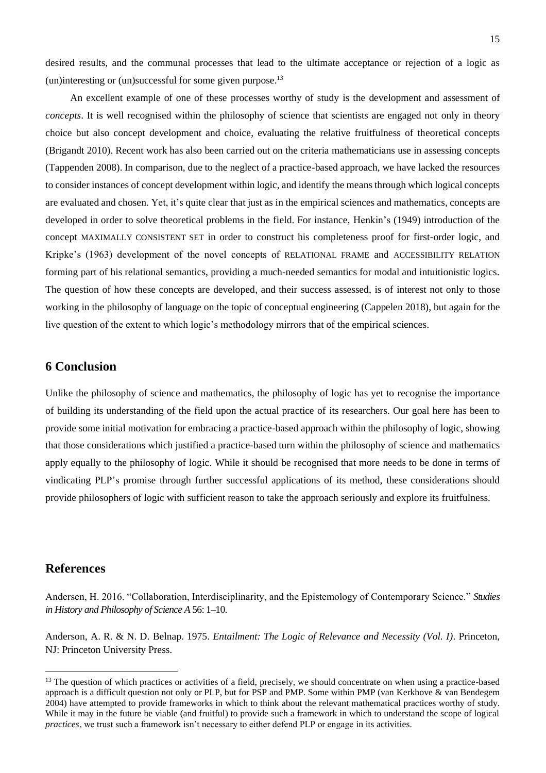desired results, and the communal processes that lead to the ultimate acceptance or rejection of a logic as (un)interesting or (un)successful for some given purpose.<sup>13</sup>

An excellent example of one of these processes worthy of study is the development and assessment of *concepts*. It is well recognised within the philosophy of science that scientists are engaged not only in theory choice but also concept development and choice, evaluating the relative fruitfulness of theoretical concepts (Brigandt 2010). Recent work has also been carried out on the criteria mathematicians use in assessing concepts (Tappenden 2008). In comparison, due to the neglect of a practice-based approach, we have lacked the resources to consider instances of concept development within logic, and identify the means through which logical concepts are evaluated and chosen. Yet, it's quite clear that just as in the empirical sciences and mathematics, concepts are developed in order to solve theoretical problems in the field. For instance, Henkin's (1949) introduction of the concept MAXIMALLY CONSISTENT SET in order to construct his completeness proof for first-order logic, and Kripke's (1963) development of the novel concepts of RELATIONAL FRAME and ACCESSIBILITY RELATION forming part of his relational semantics, providing a much-needed semantics for modal and intuitionistic logics. The question of how these concepts are developed, and their success assessed, is of interest not only to those working in the philosophy of language on the topic of conceptual engineering (Cappelen 2018), but again for the live question of the extent to which logic's methodology mirrors that of the empirical sciences.

# **6 Conclusion**

Unlike the philosophy of science and mathematics, the philosophy of logic has yet to recognise the importance of building its understanding of the field upon the actual practice of its researchers. Our goal here has been to provide some initial motivation for embracing a practice-based approach within the philosophy of logic, showing that those considerations which justified a practice-based turn within the philosophy of science and mathematics apply equally to the philosophy of logic. While it should be recognised that more needs to be done in terms of vindicating PLP's promise through further successful applications of its method, these considerations should provide philosophers of logic with sufficient reason to take the approach seriously and explore its fruitfulness.

# **References**

Andersen, H. 2016. "Collaboration, Interdisciplinarity, and the Epistemology of Contemporary Science." *Studies in History and Philosophy of Science A* 56: 1–10.

Anderson, A. R. & N. D. Belnap. 1975. *Entailment: The Logic of Relevance and Necessity (Vol. I)*. Princeton, NJ: Princeton University Press.

<sup>&</sup>lt;sup>13</sup> The question of which practices or activities of a field, precisely, we should concentrate on when using a practice-based approach is a difficult question not only or PLP, but for PSP and PMP. Some within PMP (van Kerkhove & van Bendegem 2004) have attempted to provide frameworks in which to think about the relevant mathematical practices worthy of study. While it may in the future be viable (and fruitful) to provide such a framework in which to understand the scope of logical *practices*, we trust such a framework isn't necessary to either defend PLP or engage in its activities.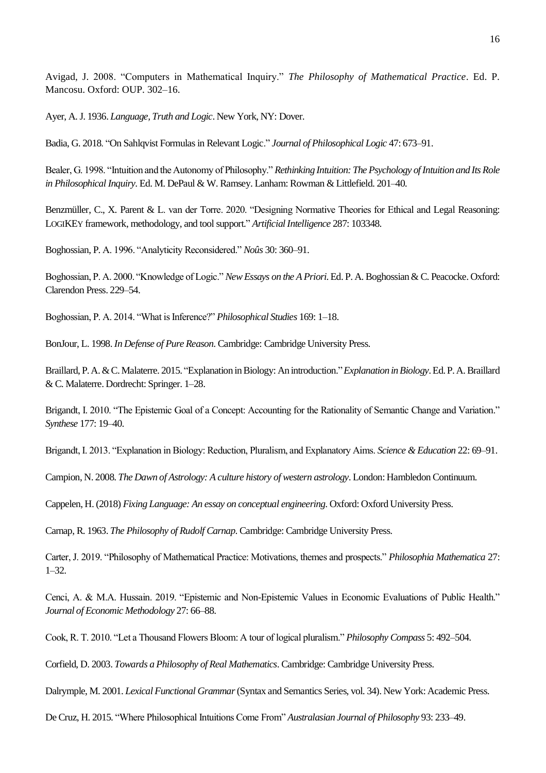Avigad, J. 2008. "Computers in Mathematical Inquiry." *The Philosophy of Mathematical Practice*. Ed. P. Mancosu. Oxford: OUP. 302–16.

Ayer, A.J. 1936. *Language, Truth and Logic*. New York, NY: Dover.

Badia, G. 2018. "On Sahlqvist Formulas in Relevant Logic." *Journal of Philosophical Logic* 47: 673–91.

Bealer, G. 1998. "Intuition and the Autonomy of Philosophy." *Rethinking Intuition: The Psychology of Intuition and Its Role in Philosophical Inquiry*. Ed. M. DePaul & W. Ramsey. Lanham: Rowman & Littlefield. 201–40.

Benzmüller, C., X. Parent & L. van der Torre. 2020. "Designing Normative Theories for Ethical and Legal Reasoning: LOGIKEY framework, methodology, and tool support." *Artificial Intelligence* 287: 103348.

Boghossian, P. A. 1996. "Analyticity Reconsidered." *Noûs* 30: 360–91.

Boghossian, P. A. 2000. "Knowledge of Logic." *New Essays on the A Priori*. Ed. P. A. Boghossian & C. Peacocke. Oxford: Clarendon Press. 229–54.

Boghossian, P. A. 2014. "What is Inference?" *Philosophical Studies* 169: 1–18.

BonJour, L. 1998. *In Defense of Pure Reason*. Cambridge: Cambridge University Press.

Braillard, P. A. & C. Malaterre. 2015. "Explanation in Biology: An introduction." *Explanation in Biology*. Ed.P. A.Braillard & C. Malaterre. Dordrecht: Springer. 1–28.

Brigandt, I. 2010. "The Epistemic Goal of a Concept: Accounting for the Rationality of Semantic Change and Variation." *Synthese* 177: 19–40.

Brigandt, I. 2013. "Explanation in Biology: Reduction, Pluralism, and Explanatory Aims. *Science & Education* 22: 69–91.

Campion, N. 2008. *The Dawn of Astrology: A culture history of western astrology*. London: Hambledon Continuum.

Cappelen, H.(2018) *Fixing Language: An essay on conceptual engineering*. Oxford: Oxford University Press.

Carnap, R. 1963. *The Philosophy of Rudolf Carnap*. Cambridge: Cambridge University Press.

Carter, J. 2019. "Philosophy of Mathematical Practice: Motivations, themes and prospects." *Philosophia Mathematica* 27: 1–32.

Cenci, A. & M.A. Hussain. 2019. "Epistemic and Non-Epistemic Values in Economic Evaluations of Public Health." *Journal of Economic Methodology* 27: 66–88.

Cook, R. T. 2010. "Let a Thousand Flowers Bloom: A tour of logical pluralism." *Philosophy Compass* 5: 492–504.

Corfield, D. 2003. *Towards a Philosophy of Real Mathematics*. Cambridge: Cambridge University Press.

Dalrymple, M. 2001. *Lexical Functional Grammar*(Syntax and Semantics Series, vol. 34). New York: Academic Press.

De Cruz, H. 2015. "Where Philosophical Intuitions Come From" *Australasian Journal of Philosophy* 93: 233–49.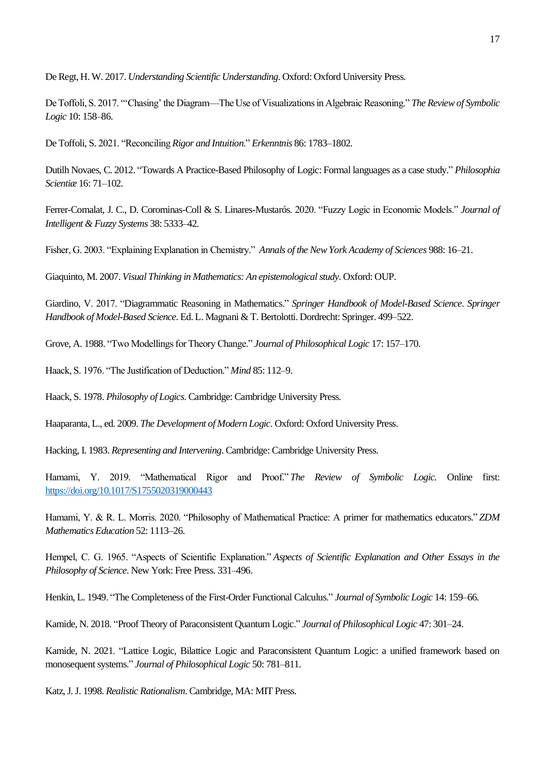De Regt, H. W. 2017. *Understanding Scientific Understanding*. Oxford: Oxford University Press.

De Toffoli, S. 2017. "'Chasing' the Diagram—The Use of Visualizations in Algebraic Reasoning." *The Review of Symbolic Logic* 10: 158–86.

De Toffoli, S. 2021. "Reconciling *Rigor and Intuition*." *Erkenntnis* 86: 1783–1802.

Dutilh Novaes, C. 2012. "Towards A Practice-Based Philosophy of Logic: Formal languages as a case study." *Philosophia Scientiæ* 16: 71–102.

Ferrer-Comalat, J. C., D. Corominas-Coll & S. Linares-Mustarós. 2020. "Fuzzy Logic in Economic Models." *Journal of Intelligent & Fuzzy Systems* 38: 5333–42.

Fisher, G. 2003. "Explaining Explanation in Chemistry." *Annals of the New York Academy of Sciences* 988: 16–21.

Giaquinto, M. 2007. *Visual Thinking in Mathematics: An epistemological study*. Oxford: OUP.

Giardino, V. 2017. "Diagrammatic Reasoning in Mathematics." *Springer Handbook of Model-Based Science*. *Springer Handbook of Model-Based Science*. Ed. L. Magnani & T. Bertolotti. Dordrecht: Springer. 499–522.

Grove, A. 1988. "Two Modellings for Theory Change." *Journal of Philosophical Logic* 17: 157–170.

Haack, S. 1976. "The Justification of Deduction." *Mind* 85: 112–9.

Haack, S. 1978. *Philosophy of Logics*. Cambridge: Cambridge University Press.

Haaparanta, L., ed. 2009. *The Development of Modern Logic*. Oxford: Oxford University Press.

Hacking, I. 1983. *Representing and Intervening*. Cambridge: Cambridge University Press.

Hamami, Y. 2019. "Mathematical Rigor and Proof." *The Review of Symbolic Logic.* Online first: <https://doi.org/10.1017/S1755020319000443>

Hamami, Y. & R. L. Morris. 2020. "Philosophy of Mathematical Practice: A primer for mathematics educators." *ZDM Mathematics Education* 52: 1113–26.

Hempel, C. G. 1965. "Aspects of Scientific Explanation." *Aspects of Scientific Explanation and Other Essays in the Philosophy of Science*. New York: Free Press. 331–496.

Henkin, L. 1949. "The Completeness of the First-Order Functional Calculus." *Journal of Symbolic Logic* 14: 159–66.

Kamide, N. 2018. "Proof Theory of Paraconsistent Quantum Logic." *Journal of Philosophical Logic* 47: 301–24.

Kamide, N. 2021. "Lattice Logic, Bilattice Logic and Paraconsistent Quantum Logic: a unified framework based on monosequent systems." *Journal of Philosophical Logic* 50: 781–811.

Katz, J. J. 1998. *Realistic Rationalism*. Cambridge, MA: MIT Press.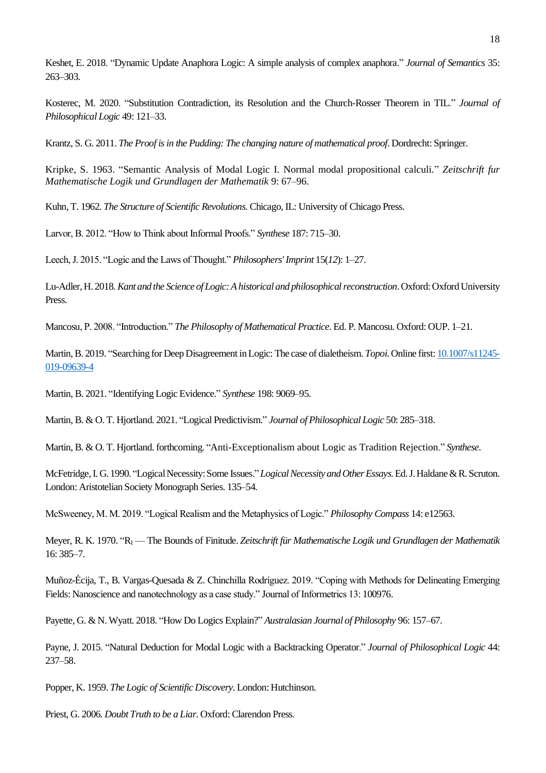Keshet, E. 2018. "Dynamic Update Anaphora Logic: A simple analysis of complex anaphora." *Journal of Semantics* 35: 263–303.

Kosterec, M. 2020. "Substitution Contradiction, its Resolution and the Church-Rosser Theorem in TIL." *Journal of Philosophical Logic* 49: 121–33.

Krantz, S. G. 2011. *The Proof is in the Pudding: The changing nature of mathematical proof*. Dordrecht: Springer.

Kripke, S. 1963. "Semantic Analysis of Modal Logic I. Normal modal propositional calculi." *Zeitschrift fur Mathematische Logik und Grundlagen der Mathematik* 9: 67–96.

Kuhn, T. 1962. *The Structure of Scientific Revolutions*. Chicago, IL: University of Chicago Press.

Larvor, B. 2012. "How to Think about Informal Proofs." *Synthese* 187: 715–30.

Leech, J. 2015. "Logic and the Laws of Thought." *Philosophers' Imprint* 15(*12*): 1–27.

Lu-Adler, H. 2018. *Kant and the Science of Logic: A historical and philosophical reconstruction*. Oxford: Oxford University Press.

Mancosu, P. 2008. "Introduction." *The Philosophy of Mathematical Practice*. Ed. P. Mancosu. Oxford: OUP. 1–21.

Martin,B. 2019. "Searching for Deep Disagreement in Logic: The case of dialetheism. *Topoi*. Online first[: 10.1007/s11245-](https://doi.org/10.1007/s11245-019-09639-4) [019-09639-4](https://doi.org/10.1007/s11245-019-09639-4)

Martin, B. 2021. "Identifying Logic Evidence." *Synthese* 198: 9069–95.

Martin, B. & O. T. Hjortland. 2021. "Logical Predictivism." *Journal of Philosophical Logic* 50: 285–318.

Martin, B. & O. T. Hjortland. forthcoming. "Anti-Exceptionalism about Logic as Tradition Rejection." *Synthese*.

McFetridge,I. G. 1990. "Logical Necessity: Some Issues."*Logical Necessity and Other Essays*. Ed.J.Haldane & R.Scruton. London: Aristotelian Society Monograph Series. 135–54.

McSweeney, M. M. 2019. "Logical Realism and the Metaphysics of Logic." *Philosophy Compass* 14: e12563.

Meyer, R. K. 1970. "R<sup>I</sup> — The Bounds of Finitude. *Zeitschrift für Mathematische Logik und Grundlagen der Mathematik* 16: 385–7.

Muñoz-Écija, T., B. Vargas-Quesada & Z. Chinchilla Rodríguez. 2019. "Coping with Methods for Delineating Emerging Fields: Nanoscience and nanotechnology as a case study." Journal of Informetrics 13: 100976.

Payette, G. & N. Wyatt. 2018. "How Do Logics Explain?" *Australasian Journal of Philosophy* 96: 157–67.

Payne, J. 2015. "Natural Deduction for Modal Logic with a Backtracking Operator." *Journal of Philosophical Logic* 44: 237–58.

Popper, K. 1959. *The Logic of Scientific Discovery*. London: Hutchinson.

Priest, G. 2006. *Doubt Truth to be a Liar*. Oxford: Clarendon Press.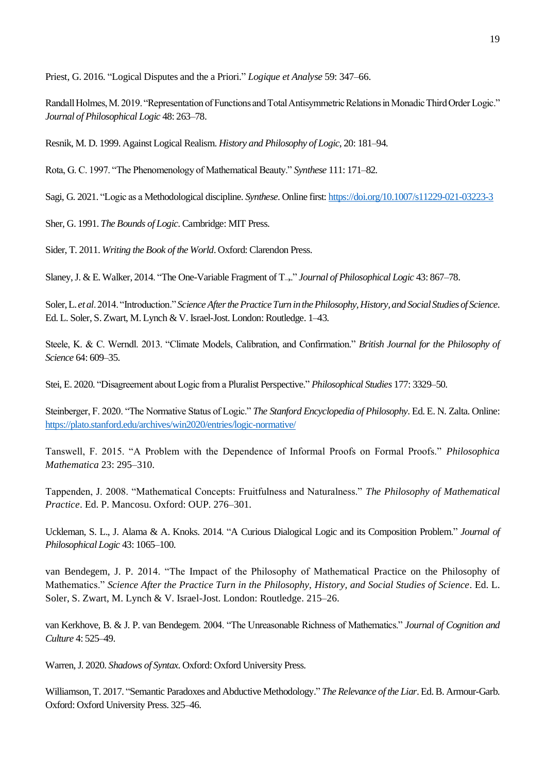Priest, G. 2016. "Logical Disputes and the a Priori." *Logique et Analyse* 59: 347–66.

Randall Holmes, M. 2019. "Representation of Functions and Total Antisymmetric Relations in Monadic Third Order Logic." *Journal of Philosophical Logic* 48: 263–78.

Resnik, M. D. 1999. Against Logical Realism. *History and Philosophy of Logic*, 20: 181–94.

Rota, G. C. 1997. "The Phenomenology of Mathematical Beauty." *Synthese* 111: 171–82.

Sagi, G. 2021. "Logic as a Methodological discipline. *Synthese*. Online first: <https://doi.org/10.1007/s11229-021-03223-3>

Sher, G. 1991. *The Bounds of Logic*. Cambridge: MIT Press.

Sider, T. 2011. *Writing the Book of the World*. Oxford: Clarendon Press.

Slaney, J. & E. Walker, 2014. "The One-Variable Fragment of T→." *Journal of Philosophical Logic* 43: 867–78.

Soler, L. *et al*. 2014. "Introduction." *Science After the Practice Turn in the Philosophy, History, and Social Studies of Science*. Ed. L. Soler, S. Zwart, M. Lynch & V. Israel-Jost. London: Routledge. 1–43.

Steele, K. & C. Werndl. 2013. "Climate Models, Calibration, and Confirmation." *British Journal for the Philosophy of Science* 64: 609–35.

Stei, E. 2020. "Disagreement about Logic from a Pluralist Perspective." *Philosophical Studies* 177: 3329–50.

Steinberger, F. 2020. "The Normative Status of Logic." *The Stanford Encyclopedia of Philosophy*. Ed. E. N. Zalta. Online: <https://plato.stanford.edu/archives/win2020/entries/logic-normative/>

Tanswell, F. 2015. "A Problem with the Dependence of Informal Proofs on Formal Proofs." *Philosophica Mathematica* 23: 295–310.

Tappenden, J. 2008. "Mathematical Concepts: Fruitfulness and Naturalness." *The Philosophy of Mathematical Practice*. Ed. P. Mancosu. Oxford: OUP. 276–301.

Uckleman, S. L., J. Alama & A. Knoks. 2014. "A Curious Dialogical Logic and its Composition Problem." *Journal of Philosophical Logic* 43: 1065–100.

van Bendegem, J. P. 2014. "The Impact of the Philosophy of Mathematical Practice on the Philosophy of Mathematics." *Science After the Practice Turn in the Philosophy, History, and Social Studies of Science*. Ed. L. Soler, S. Zwart, M. Lynch & V. Israel-Jost. London: Routledge. 215–26.

van Kerkhove, B. & J. P. van Bendegem. 2004. "The Unreasonable Richness of Mathematics." *Journal of Cognition and Culture* 4: 525–49.

Warren, J. 2020. *Shadows of Syntax*. Oxford: Oxford University Press.

Williamson, T. 2017. "Semantic Paradoxes and Abductive Methodology." *The Relevance of the Liar*. Ed.B. Armour-Garb. Oxford: Oxford University Press. 325–46.